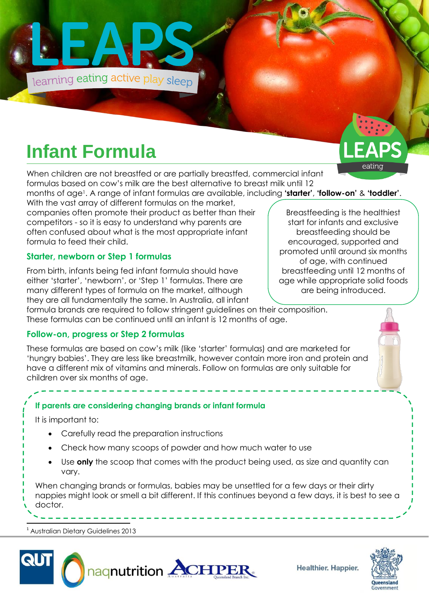

# **Infant Formula**

When children are not breastfed or are partially breastfed, commercial infant formulas based on cow's milk are the best alternative to breast milk until 12

months of age<sup>1</sup> . A range of infant formulas are available, including **'starter'**, **'follow-on'** & **'toddler'**. With the vast array of different formulas on the market,

companies often promote their product as better than their competitors - so it is easy to understand why parents are often confused about what is the most appropriate infant formula to feed their child.

### **Starter, newborn or Step 1 formulas**

From birth, infants being fed infant formula should have either 'starter', 'newborn', or 'Step 1' formulas. There are many different types of formula on the market, although they are all fundamentally the same. In Australia, all infant

formula brands are required to follow stringent guidelines on their composition. These formulas can be continued until an infant is 12 months of age.

### **Follow-on, progress or Step 2 formulas**

These formulas are based on cow's milk (like 'starter' formulas) and are marketed for 'hungry babies'. They are less like breastmilk, however contain more iron and protein and have a different mix of vitamins and minerals. Follow on formulas are only suitable for children over six months of age.

### **If parents are considering changing brands or infant formula**

It is important to:

- Carefully read the preparation instructions
- Check how many scoops of powder and how much water to use
- Use **only** the scoop that comes with the product being used, as size and quantity can vary.

When changing brands or formulas, babies may be unsettled for a few days or their dirty nappies might look or smell a bit different. If this continues beyond a few days, it is best to see a doctor.

<sup>1</sup> Australian Dietary Guidelines 2013

 $\overline{a}$ 



Healthier. Happier.



Breastfeeding is the healthiest start for infants and exclusive breastfeeding should be encouraged, supported and promoted until around six months of age, with continued breastfeeding until 12 months of age while appropriate solid foods are being introduced.

eating